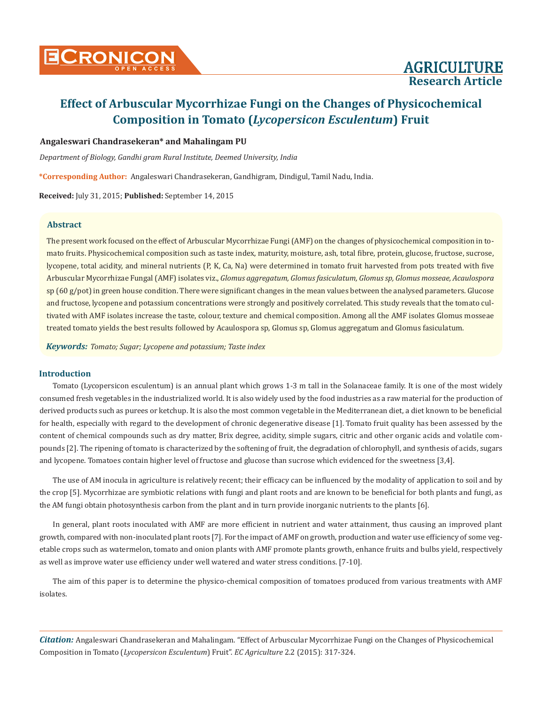

# **Research Article**

## **Effect of Arbuscular Mycorrhizae Fungi on the Changes of Physicochemical Composition in Tomato (***Lycopersicon Esculentum***) Fruit**

## **Angaleswari Chandrasekeran\* and Mahalingam PU**

*Department of Biology, Gandhi gram Rural Institute, Deemed University, India*

**\*Corresponding Author:** Angaleswari Chandrasekeran, Gandhigram, Dindigul, Tamil Nadu, India.

**Received:** July 31, 2015; **Published:** September 14, 2015

#### **Abstract**

The present work focused on the effect of Arbuscular Mycorrhizae Fungi (AMF) on the changes of physicochemical composition in tomato fruits. Physicochemical composition such as taste index, maturity, moisture, ash, total fibre, protein, glucose, fructose, sucrose, lycopene, total acidity, and mineral nutrients (P, K, Ca, Na) were determined in tomato fruit harvested from pots treated with five Arbuscular Mycorrhizae Fungal (AMF) isolates viz., *Glomus aggregatum, Glomus fasiculatum, Glomus sp, Glomus mosseae, Acaulospora* sp (60 g/pot) in green house condition. There were significant changes in the mean values between the analysed parameters. Glucose and fructose, lycopene and potassium concentrations were strongly and positively correlated. This study reveals that the tomato cultivated with AMF isolates increase the taste, colour, texture and chemical composition. Among all the AMF isolates Glomus mosseae treated tomato yields the best results followed by Acaulospora sp, Glomus sp, Glomus aggregatum and Glomus fasiculatum.

*Keywords: Tomato; Sugar; Lycopene and potassium; Taste index*

#### **Introduction**

Tomato (Lycopersicon esculentum) is an annual plant which grows 1-3 m tall in the Solanaceae family. It is one of the most widely consumed fresh vegetables in the industrialized world. It is also widely used by the food industries as a raw material for the production of derived products such as purees or ketchup. It is also the most common vegetable in the Mediterranean diet, a diet known to be beneficial for health, especially with regard to the development of chronic degenerative disease [1]. Tomato fruit quality has been assessed by the content of chemical compounds such as dry matter, Brix degree, acidity, simple sugars, citric and other organic acids and volatile compounds [2]. The ripening of tomato is characterized by the softening of fruit, the degradation of chlorophyll, and synthesis of acids, sugars and lycopene. Tomatoes contain higher level of fructose and glucose than sucrose which evidenced for the sweetness [3,4].

The use of AM inocula in agriculture is relatively recent; their efficacy can be influenced by the modality of application to soil and by the crop [5]. Mycorrhizae are symbiotic relations with fungi and plant roots and are known to be beneficial for both plants and fungi, as the AM fungi obtain photosynthesis carbon from the plant and in turn provide inorganic nutrients to the plants [6].

In general, plant roots inoculated with AMF are more efficient in nutrient and water attainment, thus causing an improved plant growth, compared with non-inoculated plant roots [7]. For the impact of AMF on growth, production and water use efficiency of some vegetable crops such as watermelon, tomato and onion plants with AMF promote plants growth, enhance fruits and bulbs yield, respectively as well as improve water use efficiency under well watered and water stress conditions. [7-10].

The aim of this paper is to determine the physico-chemical composition of tomatoes produced from various treatments with AMF isolates.

*Citation:* Angaleswari Chandrasekeran and Mahalingam. "Effect of Arbuscular Mycorrhizae Fungi on the Changes of Physicochemical Composition in Tomato (*Lycopersicon Esculentum*) Fruit". *EC Agriculture* 2.2 (2015): 317-324.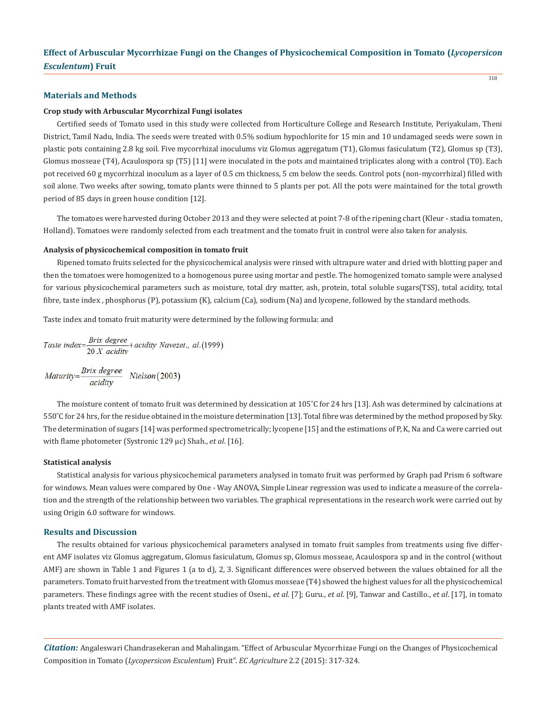318

#### **Materials and Methods**

#### **Crop study with Arbuscular Mycorrhizal Fungi isolates**

Certified seeds of Tomato used in this study were collected from Horticulture College and Research Institute, Periyakulam, Theni District, Tamil Nadu, India. The seeds were treated with 0.5% sodium hypochlorite for 15 min and 10 undamaged seeds were sown in plastic pots containing 2.8 kg soil. Five mycorrhizal inoculums viz Glomus aggregatum (T1), Glomus fasiculatum (T2), Glomus sp (T3), Glomus mosseae (T4), Acaulospora sp (T5) [11] were inoculated in the pots and maintained triplicates along with a control (T0). Each pot received 60 g mycorrhizal inoculum as a layer of 0.5 cm thickness, 5 cm below the seeds. Control pots (non-mycorrhizal) filled with soil alone. Two weeks after sowing, tomato plants were thinned to 5 plants per pot. All the pots were maintained for the total growth period of 85 days in green house condition [12].

The tomatoes were harvested during October 2013 and they were selected at point 7-8 of the ripening chart (Kleur - stadia tomaten, Holland). Tomatoes were randomly selected from each treatment and the tomato fruit in control were also taken for analysis.

#### **Analysis of physicochemical composition in tomato fruit**

Ripened tomato fruits selected for the physicochemical analysis were rinsed with ultrapure water and dried with blotting paper and then the tomatoes were homogenized to a homogenous puree using mortar and pestle. The homogenized tomato sample were analysed for various physicochemical parameters such as moisture, total dry matter, ash, protein, total soluble sugars(TSS), total acidity, total fibre, taste index, phosphorus (P), potassium (K), calcium (Ca), sodium (Na) and lycopene, followed by the standard methods.

Taste index and tomato fruit maturity were determined by the following formula: and

\n
$$
\text{Taste index} = \frac{\text{Brix degree}}{20 \, X \, \text{acidity}} + \text{acidity Navezet.}, \, al. (1999)
$$
\n

$$
Maturity = \frac{Brix \ degree}{\text{acidity}} \quad Nielson(2003)
$$

The moisture content of tomato fruit was determined by dessication at 105°C for 24 hrs [13]. Ash was determined by calcinations at 550˚C for 24 hrs, for the residue obtained in the moisture determination [13]. Total fibre was determined by the method proposed by Sky. The determination of sugars [14] was performed spectrometrically; lycopene [15] and the estimations of P, K, Na and Ca were carried out with flame photometer (Systronic 129 µc) Shah., *et al*. [16].

#### **Statistical analysis**

Statistical analysis for various physicochemical parameters analysed in tomato fruit was performed by Graph pad Prism 6 software for windows. Mean values were compared by One - Way ANOVA, Simple Linear regression was used to indicate a measure of the correlation and the strength of the relationship between two variables. The graphical representations in the research work were carried out by using Origin 6.0 software for windows.

## **Results and Discussion**

The results obtained for various physicochemical parameters analysed in tomato fruit samples from treatments using five different AMF isolates viz Glomus aggregatum, Glomus fasiculatum, Glomus sp, Glomus mosseae, Acaulospora sp and in the control (without AMF) are shown in Table 1 and Figures 1 (a to d), 2, 3. Significant differences were observed between the values obtained for all the parameters. Tomato fruit harvested from the treatment with Glomus mosseae (T4) showed the highest values for all the physicochemical parameters. These findings agree with the recent studies of Oseni., *et al*. [7]; Guru., *et al*. [9], Tanwar and Castillo., *et al*. [17], in tomato plants treated with AMF isolates.

*Citation:* Angaleswari Chandrasekeran and Mahalingam. "Effect of Arbuscular Mycorrhizae Fungi on the Changes of Physicochemical Composition in Tomato (*Lycopersicon Esculentum*) Fruit". *EC Agriculture* 2.2 (2015): 317-324.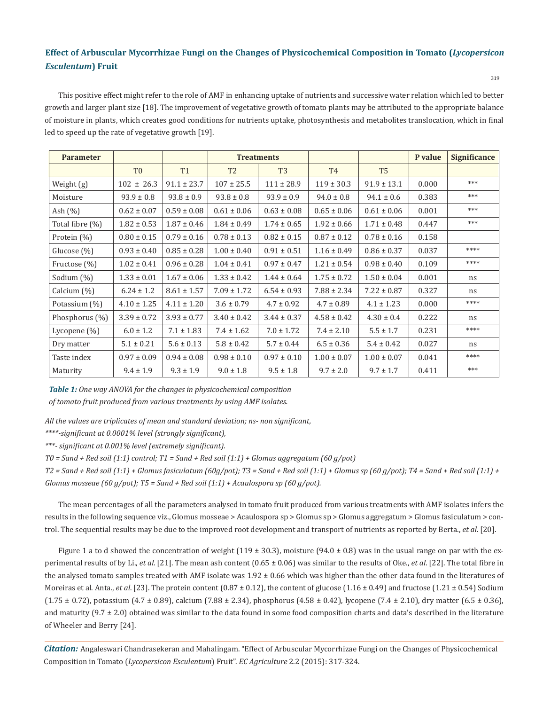This positive effect might refer to the role of AMF in enhancing uptake of nutrients and successive water relation which led to better growth and larger plant size [18]. The improvement of vegetative growth of tomato plants may be attributed to the appropriate balance of moisture in plants, which creates good conditions for nutrients uptake, photosynthesis and metabolites translocation, which in final led to speed up the rate of vegetative growth [19].

| <b>Parameter</b> |                 |                 | <b>Treatments</b> |                 |                 |                 | P value | <b>Significance</b> |
|------------------|-----------------|-----------------|-------------------|-----------------|-----------------|-----------------|---------|---------------------|
|                  | T <sub>0</sub>  | <b>T1</b>       | T <sub>2</sub>    | T <sub>3</sub>  | <b>T4</b>       | T <sub>5</sub>  |         |                     |
| Weight (g)       | $102 \pm 26.3$  | $91.1 \pm 23.7$ | $107 \pm 25.5$    | $111 \pm 28.9$  | $119 \pm 30.3$  | $91.9 \pm 13.1$ | 0.000   | ***                 |
| Moisture         | $93.9 \pm 0.8$  | $93.8 \pm 0.9$  | $93.8 \pm 0.8$    | $93.9 \pm 0.9$  | $94.0 \pm 0.8$  | $94.1 \pm 0.6$  | 0.383   | ***                 |
| Ash $(\% )$      | $0.62 \pm 0.07$ | $0.59 \pm 0.08$ | $0.61 \pm 0.06$   | $0.63 \pm 0.08$ | $0.65 \pm 0.06$ | $0.61 \pm 0.06$ | 0.001   | ***                 |
| Total fibre (%)  | $1.82 \pm 0.53$ | $1.87 \pm 0.46$ | $1.84 \pm 0.49$   | $1.74 \pm 0.65$ | $1.92 \pm 0.66$ | $1.71 \pm 0.48$ | 0.447   | ***                 |
| Protein $(\%)$   | $0.80 \pm 0.15$ | $0.79 \pm 0.16$ | $0.78 \pm 0.13$   | $0.82 \pm 0.15$ | $0.87 \pm 0.12$ | $0.78 \pm 0.16$ | 0.158   |                     |
| Glucose $(\%)$   | $0.93 \pm 0.40$ | $0.85 \pm 0.28$ | $1.00 \pm 0.40$   | $0.91 \pm 0.51$ | $1.16 \pm 0.49$ | $0.86 \pm 0.37$ | 0.037   | ****                |
| Fructose (%)     | $1.02 \pm 0.41$ | $0.96 \pm 0.28$ | $1.04 \pm 0.41$   | $0.97 \pm 0.47$ | $1.21 \pm 0.54$ | $0.98 \pm 0.40$ | 0.109   | ****                |
| Sodium (%)       | $1.33 \pm 0.01$ | $1.67 \pm 0.06$ | $1.33 \pm 0.42$   | $1.44 \pm 0.64$ | $1.75 \pm 0.72$ | $1.50 \pm 0.04$ | 0.001   | ns                  |
| Calcium (%)      | $6.24 \pm 1.2$  | $8.61 \pm 1.57$ | $7.09 \pm 1.72$   | $6.54 \pm 0.93$ | $7.88 \pm 2.34$ | $7.22 \pm 0.87$ | 0.327   | ns                  |
| Potassium (%)    | $4.10 \pm 1.25$ | $4.11 \pm 1.20$ | $3.6 \pm 0.79$    | $4.7 \pm 0.92$  | $4.7 \pm 0.89$  | $4.1 \pm 1.23$  | 0.000   | ****                |
| Phosphorus (%)   | $3.39 \pm 0.72$ | $3.93 \pm 0.77$ | $3.40 \pm 0.42$   | $3.44 \pm 0.37$ | $4.58 \pm 0.42$ | $4.30 \pm 0.4$  | 0.222   | ns                  |
| Lycopene $(\%)$  | $6.0 \pm 1.2$   | $7.1 \pm 1.83$  | $7.4 \pm 1.62$    | $7.0 \pm 1.72$  | $7.4 \pm 2.10$  | $5.5 \pm 1.7$   | 0.231   | ****                |
| Dry matter       | $5.1 \pm 0.21$  | $5.6 \pm 0.13$  | $5.8 \pm 0.42$    | $5.7 \pm 0.44$  | $6.5 \pm 0.36$  | $5.4 \pm 0.42$  | 0.027   | ns                  |
| Taste index      | $0.97 \pm 0.09$ | $0.94 \pm 0.08$ | $0.98 \pm 0.10$   | $0.97 \pm 0.10$ | $1.00 \pm 0.07$ | $1.00 \pm 0.07$ | 0.041   | ****                |
| Maturity         | $9.4 \pm 1.9$   | $9.3 \pm 1.9$   | $9.0 \pm 1.8$     | $9.5 \pm 1.8$   | $9.7 \pm 2.0$   | $9.7 \pm 1.7$   | 0.411   | ***                 |

*Table 1: One way ANOVA for the changes in physicochemical composition* 

*of tomato fruit produced from various treatments by using AMF isolates.*

*All the values are triplicates of mean and standard deviation; ns- non significant,* 

*\*\*\*\*-significant at 0.0001% level (strongly significant),* 

*\*\*\*- significant at 0.001% level (extremely significant).*

*T0 = Sand + Red soil (1:1) control; T1 = Sand + Red soil (1:1) + Glomus aggregatum (60 g/pot)*

 $T2 = Sand + Red soil (1:1) + Glomus fastculatum (60g/pot); T3 = Sand + Red soil (1:1) + Glomus sp (60 g/pot); T4 = Sand + Red soil (1:1) + Clomus sp (60 g/pot); T5 = S.$ *Glomus mosseae (60 g/pot); T5 = Sand + Red soil (1:1) + Acaulospora sp (60 g/pot).*

The mean percentages of all the parameters analysed in tomato fruit produced from various treatments with AMF isolates infers the results in the following sequence viz., Glomus mosseae > Acaulospora sp > Glomus sp > Glomus aggregatum > Glomus fasiculatum > control. The sequential results may be due to the improved root development and transport of nutrients as reported by Berta., *et al*. [20].

Figure 1 a to d showed the concentration of weight (119  $\pm$  30.3), moisture (94.0  $\pm$  0.8) was in the usual range on par with the experimental results of by Li., *et al*. [21]. The mean ash content (0.65 ± 0.06) was similar to the results of Oke., *et al*. [22]. The total fibre in the analysed tomato samples treated with AMF isolate was  $1.92 \pm 0.66$  which was higher than the other data found in the literatures of Moreiras et al. Anta., *et al.* [23]. The protein content (0.87  $\pm$  0.12), the content of glucose (1.16  $\pm$  0.49) and fructose (1.21  $\pm$  0.54) Sodium  $(1.75 \pm 0.72)$ , potassium  $(4.7 \pm 0.89)$ , calcium  $(7.88 \pm 2.34)$ , phosphorus  $(4.58 \pm 0.42)$ , lycopene  $(7.4 \pm 2.10)$ , dry matter  $(6.5 \pm 0.36)$ , and maturity  $(9.7 \pm 2.0)$  obtained was similar to the data found in some food composition charts and data's described in the literature of Wheeler and Berry [24].

*Citation:* Angaleswari Chandrasekeran and Mahalingam. "Effect of Arbuscular Mycorrhizae Fungi on the Changes of Physicochemical Composition in Tomato (*Lycopersicon Esculentum*) Fruit". *EC Agriculture* 2.2 (2015): 317-324.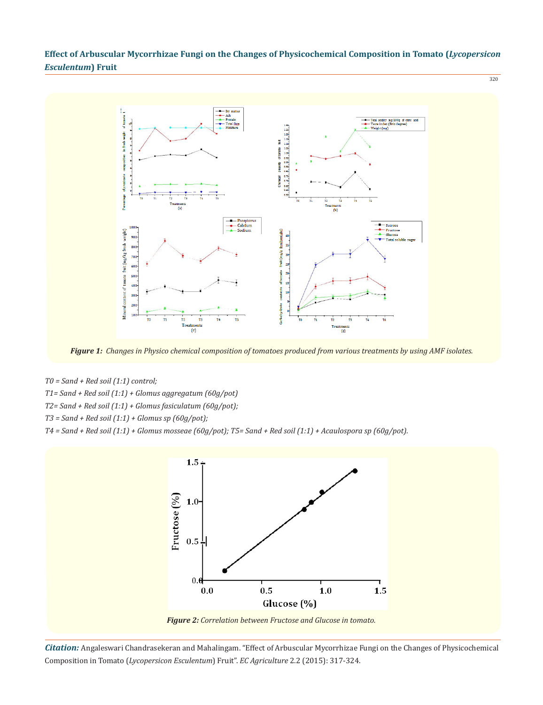320



*Figure 1: Changes in Physico chemical composition of tomatoes produced from various treatments by using AMF isolates.*

*T0 = Sand + Red soil (1:1) control;*

- *T1= Sand + Red soil (1:1) + Glomus aggregatum (60g/pot)*
- *T2= Sand + Red soil (1:1) + Glomus fasiculatum (60g/pot);*
- *T3 = Sand + Red soil (1:1) + Glomus sp (60g/pot);*

*T4 = Sand + Red soil (1:1) + Glomus mosseae (60g/pot); T5= Sand + Red soil (1:1) + Acaulospora sp (60g/pot).*



*Citation:* Angaleswari Chandrasekeran and Mahalingam. "Effect of Arbuscular Mycorrhizae Fungi on the Changes of Physicochemical Composition in Tomato (*Lycopersicon Esculentum*) Fruit". *EC Agriculture* 2.2 (2015): 317-324.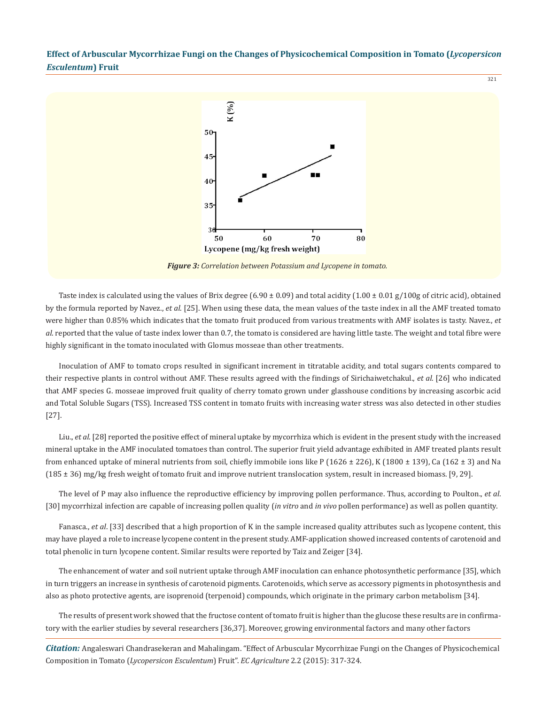

*Figure 3: Correlation between Potassium and Lycopene in tomato.*

Taste index is calculated using the values of Brix degree (6.90  $\pm$  0.09) and total acidity (1.00  $\pm$  0.01 g/100g of citric acid), obtained by the formula reported by Navez., *et al*. [25]. When using these data, the mean values of the taste index in all the AMF treated tomato were higher than 0.85% which indicates that the tomato fruit produced from various treatments with AMF isolates is tasty. Navez., *et al*. reported that the value of taste index lower than 0.7, the tomato is considered are having little taste. The weight and total fibre were highly significant in the tomato inoculated with Glomus mosseae than other treatments.

Inoculation of AMF to tomato crops resulted in significant increment in titratable acidity, and total sugars contents compared to their respective plants in control without AMF. These results agreed with the findings of Sirichaiwetchakul., *et al*. [26] who indicated that AMF species G. mosseae improved fruit quality of cherry tomato grown under glasshouse conditions by increasing ascorbic acid and Total Soluble Sugars (TSS). Increased TSS content in tomato fruits with increasing water stress was also detected in other studies [27].

Liu., *et al*. [28] reported the positive effect of mineral uptake by mycorrhiza which is evident in the present study with the increased mineral uptake in the AMF inoculated tomatoes than control. The superior fruit yield advantage exhibited in AMF treated plants result from enhanced uptake of mineral nutrients from soil, chiefly immobile ions like P (1626 ± 226), K (1800 ± 139), Ca (162 ± 3) and Na (185 ± 36) mg/kg fresh weight of tomato fruit and improve nutrient translocation system, result in increased biomass. [9, 29].

The level of P may also influence the reproductive efficiency by improving pollen performance. Thus, according to Poulton., *et al*. [30] mycorrhizal infection are capable of increasing pollen quality (*in vitro* and *in vivo* pollen performance) as well as pollen quantity.

Fanasca., *et al*. [33] described that a high proportion of K in the sample increased quality attributes such as lycopene content, this may have played a role to increase lycopene content in the present study. AMF-application showed increased contents of carotenoid and total phenolic in turn lycopene content. Similar results were reported by Taiz and Zeiger [34].

The enhancement of water and soil nutrient uptake through AMF inoculation can enhance photosynthetic performance [35], which in turn triggers an increase in synthesis of carotenoid pigments. Carotenoids, which serve as accessory pigments in photosynthesis and also as photo protective agents, are isoprenoid (terpenoid) compounds, which originate in the primary carbon metabolism [34].

The results of present work showed that the fructose content of tomato fruit is higher than the glucose these results are in confirmatory with the earlier studies by several researchers [36,37]. Moreover, growing environmental factors and many other factors

*Citation:* Angaleswari Chandrasekeran and Mahalingam. "Effect of Arbuscular Mycorrhizae Fungi on the Changes of Physicochemical Composition in Tomato (*Lycopersicon Esculentum*) Fruit". *EC Agriculture* 2.2 (2015): 317-324.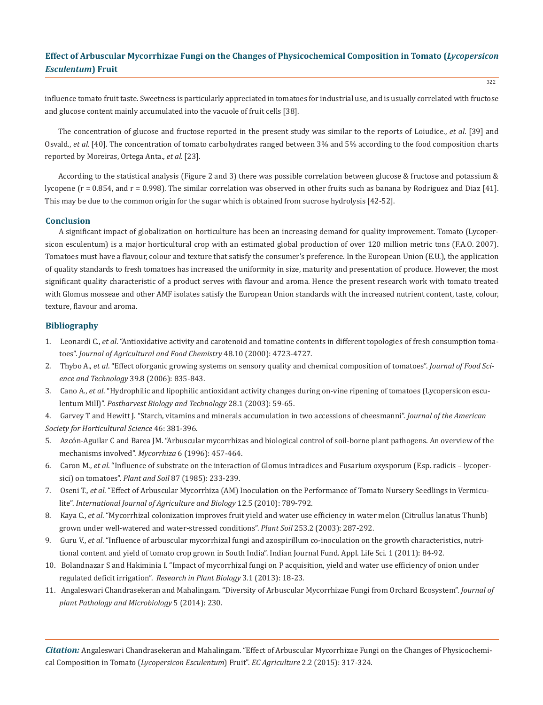influence tomato fruit taste. Sweetness is particularly appreciated in tomatoes for industrial use, and is usually correlated with fructose and glucose content mainly accumulated into the vacuole of fruit cells [38].

The concentration of glucose and fructose reported in the present study was similar to the reports of Loiudice., *et al*. [39] and Osvald., *et al*. [40]. The concentration of tomato carbohydrates ranged between 3% and 5% according to the food composition charts reported by Moreiras, Ortega Anta., *et al.* [23].

According to the statistical analysis (Figure 2 and 3) there was possible correlation between glucose & fructose and potassium & lycopene (r = 0.854, and r = 0.998). The similar correlation was observed in other fruits such as banana by Rodriguez and Diaz [41]. This may be due to the common origin for the sugar which is obtained from sucrose hydrolysis [42-52].

## **Conclusion**

A significant impact of globalization on horticulture has been an increasing demand for quality improvement. Tomato (Lycopersicon esculentum) is a major horticultural crop with an estimated global production of over 120 million metric tons (F.A.O. 2007). Tomatoes must have a flavour, colour and texture that satisfy the consumer's preference. In the European Union (E.U.), the application of quality standards to fresh tomatoes has increased the uniformity in size, maturity and presentation of produce. However, the most significant quality characteristic of a product serves with flavour and aroma. Hence the present research work with tomato treated with Glomus mosseae and other AMF isolates satisfy the European Union standards with the increased nutrient content, taste, colour, texture, flavour and aroma.

## **Bibliography**

- 1. Leonardi C., *et al*. "Antioxidative activity and carotenoid and tomatine contents in different topologies of fresh consumption toma toes". *Journal of Agricultural and Food Chemistry* 48.10 (2000): 4723-4727.
- 2. Thybo A., *et al*. "Effect oforganic growing systems on sensory quality and chemical composition of tomatoes". *Journal of Food Sci ence and Technology* 39.8 (2006): 835-843.
- 3. Cano A., *et al*. "Hydrophilic and lipophilic antioxidant activity changes during on-vine ripening of tomatoes (Lycopersicon escu lentum Mill)". *Postharvest Biology and Technology* 28.1 (2003): 59-65.
- 4. Garvey T and Hewitt J. "Starch, vitamins and minerals accumulation in two accessions of cheesmanni". *Journal of the American Society for Horticultural Science* 46: 381-396.
- 5. Azcón-Aguilar C and Barea JM. "Arbuscular mycorrhizas and biological control of soil-borne plant pathogens. An overview of the mechanisms involved". *Mycorrhiza* 6 (1996): 457-464.
- 6. Caron M., *et al*. "Influence of substrate on the interaction of Glomus intradices and Fusarium oxysporum (F.sp. radicis lycoper sici) on tomatoes". *Plant and Soil* 87 (1985): 233-239.
- 7. Oseni T., *et al*. "Effect of Arbuscular Mycorrhiza (AM) Inoculation on the Performance of Tomato Nursery Seedlings in Vermicu lite". *International Journal of Agriculture and Biology* 12.5 (2010): 789-792.
- 8. Kaya C., *et al*. "Mycorrhizal colonization improves fruit yield and water use efficiency in water melon (Citrullus lanatus Thunb) grown under well-watered and water-stressed conditions". *Plant Soil* 253.2 (2003): 287-292.
- 9. Guru V., *et al*. "Influence of arbuscular mycorrhizal fungi and azospirillum co-inoculation on the growth characteristics, nutri tional content and yield of tomato crop grown in South India". Indian Journal Fund. Appl. Life Sci. 1 (2011): 84-92.
- 10. Bolandnazar S and Hakiminia I. "Impact of mycorrhizal fungi on P acquisition, yield and water use efficiency of onion under regulated deficit irrigation". *Research in Plant Biology* 3.1 (2013): 18-23.
- 11. Angaleswari Chandrasekeran and Mahalingam. "Diversity of Arbuscular Mycorrhizae Fungi from Orchard Ecosystem". *Journal of plant Pathology and Microbiology* 5 (2014): 230.

*Citation:* Angaleswari Chandrasekeran and Mahalingam. "Effect of Arbuscular Mycorrhizae Fungi on the Changes of Physicochemical Composition in Tomato (*Lycopersicon Esculentum*) Fruit". *EC Agriculture* 2.2 (2015): 317-324.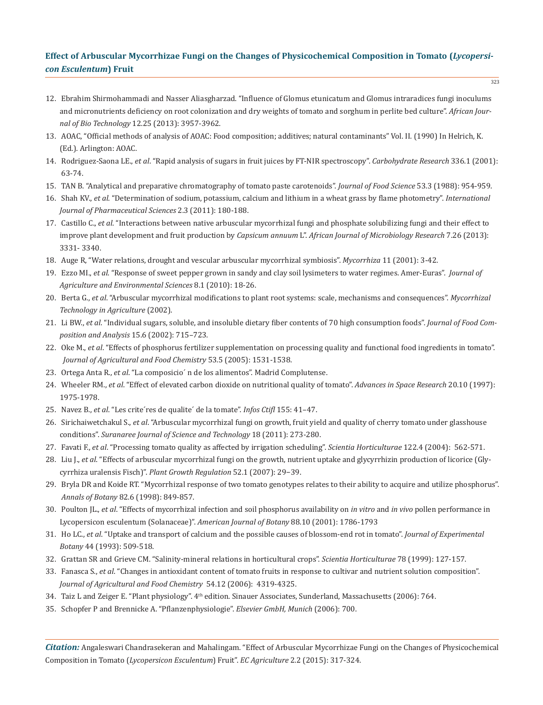- 12. Ebrahim Shirmohammadi and Nasser Aliasgharzad. "Influence of Glomus etunicatum and Glomus intraradices fungi inoculums and micronutrients deficiency on root colonization and dry weights of tomato and sorghum in perlite bed culture". *African Jour nal of Bio Technology* 12.25 (2013): 3957-3962.
- 13. AOAC, "Official methods of analysis of AOAC: Food composition; additives; natural contaminants" Vol. II. (1990) In Helrich, K. (Ed.). Arlington: AOAC.
- 14. Rodriguez-Saona LE., *et al*. "Rapid analysis of sugars in fruit juices by FT-NIR spectroscopy". *Carbohydrate Research* 336.1 (2001): 63-74.
- 15. TAN B. "Analytical and preparative chromatography of tomato paste carotenoids". *Journal of Food Science* 53.3 (1988): 954-959.
- 16. Shah KV., *et al*. "Determination of sodium, potassium, calcium and lithium in a wheat grass by flame photometry". *International Journal of Pharmaceutical Sciences* 2.3 (2011): 180-188.
- 17. Castillo C., *et al*. "Interactions between native arbuscular mycorrhizal fungi and phosphate solubilizing fungi and their effect to improve plant development and fruit production by *Capsicum annuum* L". *African Journal of Microbiology Research* 7.26 (2013): 3331- 3340.
- 18. Auge R, "Water relations, drought and vescular arbuscular mycorrhizal symbiosis". *Mycorrhiza* 11 (2001): 3-42.
- 19. Ezzo MI., *et al*. "Response of sweet pepper grown in sandy and clay soil lysimeters to water regimes. Amer-Euras". *Journal of Agriculture and Environmental Sciences* 8.1 (2010): 18-26.
- 20. Berta G., *et al*. "Arbuscular mycorrhizal modifications to plant root systems: scale, mechanisms and consequences". *Mycorrhizal Technology in Agriculture* (2002).
- 21. Li BW., *et al*. "Individual sugars, soluble, and insoluble dietary fiber contents of 70 high consumption foods". *Journal of Food Com position and Analysis* 15.6 (2002): 715–723.
- 22. Oke M., *et al*. "Effects of phosphorus fertilizer supplementation on processing quality and functional food ingredients in tomato".  *Journal of Agricultural and Food Chemistry* 53.5 (2005): 1531-1538.
- 23. Ortega Anta R., *et al*. "La composicio´ n de los alimentos". Madrid Complutense.
- 24. Wheeler RM., *et al*. "Effect of elevated carbon dioxide on nutritional quality of tomato". *Advances in Space Research* 20.10 (1997): 1975-1978.
- 25. Navez B., *et al*. "Les crite´res de qualite´ de la tomate". *Infos Ctifl* 155: 41–47.
- 26. Sirichaiwetchakul S., *et al*. "Arbuscular mycorrhizal fungi on growth, fruit yield and quality of cherry tomato under glasshouse conditions". *Suranaree Journal of Science and Technology* 18 (2011): 273-280.
- 27. Favati F., *et al*. "Processing tomato quality as affected by irrigation scheduling". *Scientia Horticulturae* 122.4 (2004): 562-571.
- 28. Liu J., *et al*. "Effects of arbuscular mycorrhizal fungi on the growth, nutrient uptake and glycyrrhizin production of licorice (Gly cyrrhiza uralensis Fisch)". *Plant Growth Regulation* 52.1 (2007): 29−39.
- 29. Bryla DR and Koide RT. "Mycorrhizal response of two tomato genotypes relates to their ability to acquire and utilize phosphorus".  *Annals of Botany* 82.6 (1998): 849-857.
- 30. Poulton JL., *et al*. "Effects of mycorrhizal infection and soil phosphorus availability on *in vitro* and *in vivo* pollen performance in Lycopersicon esculentum (Solanaceae)". *American Journal of Botany* 88.10 (2001): 1786-1793
- 31. Ho LC., *et al*. "Uptake and transport of calcium and the possible causes of blossom-end rot in tomato". *Journal of Experimental Botany* 44 (1993): 509-518.
- 32. Grattan SR and Grieve CM. "Salinity-mineral relations in horticultural crops". *Scientia Horticulturae* 78 (1999): 127-157.
- 33. Fanasca S., *et al*. "Changes in antioxidant content of tomato fruits in response to cultivar and nutrient solution composition".  *Journal of Agricultural and Food Chemistry* 54.12 (2006): 4319-4325.
- 34. Taiz L and Zeiger E. "Plant physiology". 4th edition. Sinauer Associates, Sunderland, Massachusetts (2006): 764.
- 35. Schopfer P and Brennicke A. "Pflanzenphysiologie". *Elsevier GmbH, Munich* (2006): 700.

*Citation:* Angaleswari Chandrasekeran and Mahalingam. "Effect of Arbuscular Mycorrhizae Fungi on the Changes of Physicochemical Composition in Tomato (*Lycopersicon Esculentum*) Fruit". *EC Agriculture* 2.2 (2015): 317-324.